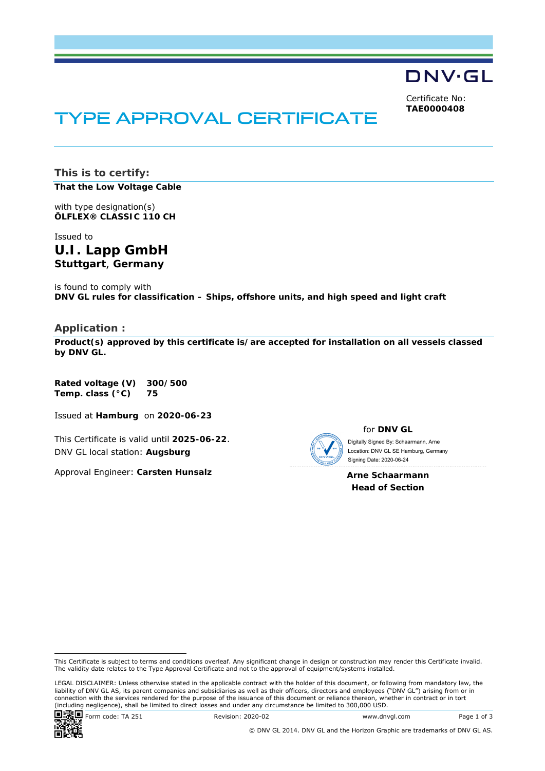DNV·GL

Certificate No: **TAE0000408**

# TYPE APPROVAL CERTIFICATE

**This is to certify: That the Low Voltage Cable**

with type designation(s) **ÖLFLEX® CLASSIC 110 CH**

Issued to **U.I. Lapp GmbH Stuttgart**, **Germany** 

is found to comply with **DNV GL rules for classification – Ships, offshore units, and high speed and light craft** 

### **Application :**

**Product(s) approved by this certificate is/are accepted for installation on all vessels classed by DNV GL.**

**Rated voltage (V) 300/500 Temp. class (°C) 75** 

Issued at **Hamburg** on **2020-06-23**

This Certificate is valid until **2025-06-22**. DNV GL local station: **Augsburg**

Approval Engineer: **Carsten Hunsalz**



for **DNV GL**

 Signing Date: 2020-06-24 Digitally Signed By: Schaarmann, Arne Location: DNV GL SE Hamburg, Germany

**Arne Schaarmann Head of Section** 

LEGAL DISCLAIMER: Unless otherwise stated in the applicable contract with the holder of this document, or following from mandatory law, the liability of DNV GL AS, its parent companies and subsidiaries as well as their officers, directors and employees ("DNV GL") arising from or in connection with the services rendered for the purpose of the issuance of this document or reliance thereon, whether in contract or in tort<br>(including negligence), shall be limited to direct losses and under any circumstanc



This Certificate is subject to terms and conditions overleaf. Any significant change in design or construction may render this Certificate invalid. The validity date relates to the Type Approval Certificate and not to the approval of equipment/systems installed.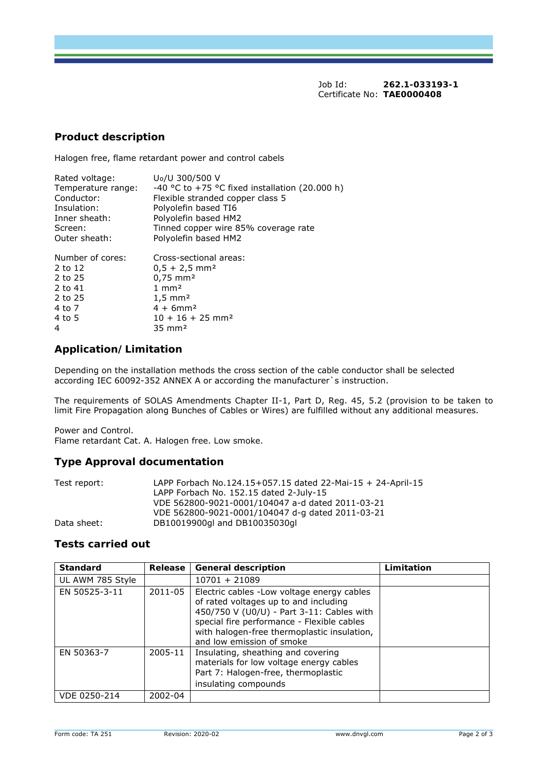Job Id: **262.1-033193-1**  Certificate No: **TAE0000408**

### **Product description**

Halogen free, flame retardant power and control cabels

| Rated voltage:     | U <sub>0</sub> /U 300/500 V                    |  |  |
|--------------------|------------------------------------------------|--|--|
| Temperature range: | -40 °C to +75 °C fixed installation (20.000 h) |  |  |
| Conductor:         | Flexible stranded copper class 5               |  |  |
| Insulation:        | Polyolefin based TI6                           |  |  |
| Inner sheath:      | Polyolefin based HM2                           |  |  |
| Screen:            | Tinned copper wire 85% coverage rate           |  |  |
| Outer sheath:      | Polyolefin based HM2                           |  |  |
| Number of cores:   | Cross-sectional areas:                         |  |  |
| 2 to 12            | $0,5 + 2,5$ mm <sup>2</sup>                    |  |  |
| 2 to 25            | $0.75$ mm <sup>2</sup>                         |  |  |
| 2 to 41            | $1 \text{ mm}^2$                               |  |  |

| $4 + 6$ mm <sup>2</sup>        |
|--------------------------------|
| $10 + 16 + 25$ mm <sup>2</sup> |
| $35 \text{ mm}^2$              |
|                                |

## **Application/Limitation**

2 to 25 1,5 mm<sup>2</sup>

Depending on the installation methods the cross section of the cable conductor shall be selected according IEC 60092-352 ANNEX A or according the manufacturer`s instruction.

The requirements of SOLAS Amendments Chapter II-1, Part D, Reg. 45, 5.2 (provision to be taken to limit Fire Propagation along Bunches of Cables or Wires) are fulfilled without any additional measures.

Power and Control. Flame retardant Cat. A. Halogen free. Low smoke.

## **Type Approval documentation**

| Test report: | LAPP Forbach No.124.15+057.15 dated 22-Mai-15 + 24-April-15 |
|--------------|-------------------------------------------------------------|
|              | LAPP Forbach No. 152.15 dated 2-July-15                     |
|              | VDE 562800-9021-0001/104047 a-d dated 2011-03-21            |
|              | VDE 562800-9021-0001/104047 d-g dated 2011-03-21            |
| Data sheet:  | DB10019900ql and DB10035030ql                               |

## **Tests carried out**

| <b>Standard</b>  | Release | <b>General description</b>                                                                                                                                                                                                                                  | Limitation |
|------------------|---------|-------------------------------------------------------------------------------------------------------------------------------------------------------------------------------------------------------------------------------------------------------------|------------|
| UL AWM 785 Style |         | 10701 + 21089                                                                                                                                                                                                                                               |            |
| EN 50525-3-11    | 2011-05 | Electric cables - Low voltage energy cables<br>of rated voltages up to and including<br>450/750 V (U0/U) - Part 3-11: Cables with<br>special fire performance - Flexible cables<br>with halogen-free thermoplastic insulation,<br>and low emission of smoke |            |
| EN 50363-7       | 2005-11 | Insulating, sheathing and covering<br>materials for low voltage energy cables<br>Part 7: Halogen-free, thermoplastic<br>insulating compounds                                                                                                                |            |
| VDE 0250-214     | 2002-04 |                                                                                                                                                                                                                                                             |            |